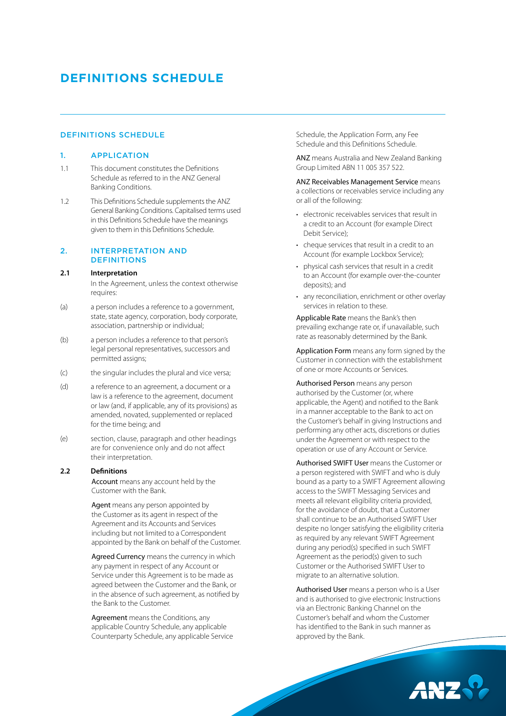# **DEFINITIONS SCHEDULE**

# DEFINITIONS SCHEDULE

## 1. APPLICATION

- 1.1 This document constitutes the Definitions Schedule as referred to in the ANZ General Banking Conditions.
- 1.2 This Definitions Schedule supplements the ANZ General Banking Conditions. Capitalised terms used in this Definitions Schedule have the meanings given to them in this Definitions Schedule.

#### 2. INTERPRETATION AND **DEFINITIONS**

#### **2.1 Interpretation**

 In the Agreement, unless the context otherwise requires:

- (a) a person includes a reference to a government, state, state agency, corporation, body corporate, association, partnership or individual;
- (b) a person includes a reference to that person's legal personal representatives, successors and permitted assigns;
- (c) the singular includes the plural and vice versa;
- (d) a reference to an agreement, a document or a law is a reference to the agreement, document or law (and, if applicable, any of its provisions) as amended, novated, supplemented or replaced for the time being; and
- (e) section, clause, paragraph and other headings are for convenience only and do not affect their interpretation.

## **2.2 Definitions**

Account means any account held by the Customer with the Bank.

Agent means any person appointed by the Customer as its agent in respect of the Agreement and its Accounts and Services including but not limited to a Correspondent appointed by the Bank on behalf of the Customer.

Agreed Currency means the currency in which any payment in respect of any Account or Service under this Agreement is to be made as agreed between the Customer and the Bank, or in the absence of such agreement, as notified by the Bank to the Customer.

Agreement means the Conditions, any applicable Country Schedule, any applicable Counterparty Schedule, any applicable Service Schedule, the Application Form, any Fee Schedule and this Definitions Schedule.

ANZ means Australia and New Zealand Banking Group Limited ABN 11 005 357 522.

ANZ Receivables Management Service means a collections or receivables service including any or all of the following:

- electronic receivables services that result in a credit to an Account (for example Direct Debit Service);
- cheque services that result in a credit to an Account (for example Lockbox Service);
- physical cash services that result in a credit to an Account (for example over-the-counter deposits); and
- any reconciliation, enrichment or other overlay services in relation to these.

Applicable Rate means the Bank's then prevailing exchange rate or, if unavailable, such rate as reasonably determined by the Bank.

Application Form means any form signed by the Customer in connection with the establishment of one or more Accounts or Services.

Authorised Person means any person authorised by the Customer (or, where applicable, the Agent) and notified to the Bank in a manner acceptable to the Bank to act on the Customer's behalf in giving Instructions and performing any other acts, discretions or duties under the Agreement or with respect to the operation or use of any Account or Service.

Authorised SWIFT User means the Customer or a person registered with SWIFT and who is duly bound as a party to a SWIFT Agreement allowing access to the SWIFT Messaging Services and meets all relevant eligibility criteria provided, for the avoidance of doubt, that a Customer shall continue to be an Authorised SWIFT User despite no longer satisfying the eligibility criteria as required by any relevant SWIFT Agreement during any period(s) specified in such SWIFT Agreement as the period(s) given to such Customer or the Authorised SWIFT User to migrate to an alternative solution.

Authorised User means a person who is a User and is authorised to give electronic Instructions via an Electronic Banking Channel on the Customer's behalf and whom the Customer has identified to the Bank in such manner as approved by the Bank.

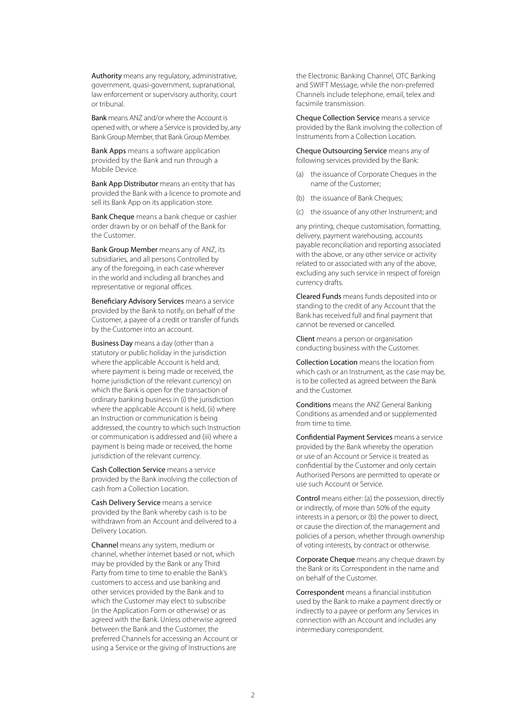Authority means any regulatory, administrative, government, quasi-government, supranational, law enforcement or supervisory authority, court or tribunal.

Bank means ANZ and/or where the Account is opened with, or where a Service is provided by, any Bank Group Member, that Bank Group Member.

Bank Apps means a software application provided by the Bank and run through a Mobile Device.

Bank App Distributor means an entity that has provided the Bank with a licence to promote and sell its Bank App on its application store.

Bank Cheque means a bank cheque or cashier order drawn by or on behalf of the Bank for the Customer.

Bank Group Member means any of ANZ, its subsidiaries, and all persons Controlled by any of the foregoing, in each case wherever in the world and including all branches and representative or regional offices.

Beneficiary Advisory Services means a service provided by the Bank to notify, on behalf of the Customer, a payee of a credit or transfer of funds by the Customer into an account.

Business Day means a day (other than a statutory or public holiday in the jurisdiction where the applicable Account is held and, where payment is being made or received, the home jurisdiction of the relevant currency) on which the Bank is open for the transaction of ordinary banking business in (i) the jurisdiction where the applicable Account is held, (ii) where an Instruction or communication is being addressed, the country to which such Instruction or communication is addressed and (iii) where a payment is being made or received, the home jurisdiction of the relevant currency.

Cash Collection Service means a service provided by the Bank involving the collection of cash from a Collection Location.

Cash Delivery Service means a service provided by the Bank whereby cash is to be withdrawn from an Account and delivered to a Delivery Location.

Channel means any system, medium or channel, whether internet based or not, which may be provided by the Bank or any Third Party from time to time to enable the Bank's customers to access and use banking and other services provided by the Bank and to which the Customer may elect to subscribe (in the Application Form or otherwise) or as agreed with the Bank. Unless otherwise agreed between the Bank and the Customer, the preferred Channels for accessing an Account or using a Service or the giving of Instructions are

the Electronic Banking Channel, OTC Banking and SWIFT Message, while the non-preferred Channels include telephone, email, telex and facsimile transmission.

Cheque Collection Service means a service provided by the Bank involving the collection of Instruments from a Collection Location.

Cheque Outsourcing Service means any of following services provided by the Bank:

- (a) the issuance of Corporate Cheques in the name of the Customer;
- (b) the issuance of Bank Cheques;
- (c) the issuance of any other Instrument; and

any printing, cheque customisation, formatting, delivery, payment warehousing, accounts payable reconciliation and reporting associated with the above, or any other service or activity related to or associated with any of the above, excluding any such service in respect of foreign currency drafts.

Cleared Funds means funds deposited into or standing to the credit of any Account that the Bank has received full and final payment that cannot be reversed or cancelled.

Client means a person or organisation conducting business with the Customer.

Collection Location means the location from which cash or an Instrument, as the case may be, is to be collected as agreed between the Bank and the Customer.

Conditions means the ANZ General Banking Conditions as amended and or supplemented from time to time.

Confidential Payment Services means a service provided by the Bank whereby the operation or use of an Account or Service is treated as confidential by the Customer and only certain Authorised Persons are permitted to operate or use such Account or Service.

Control means either: (a) the possession, directly or indirectly, of more than 50% of the equity interests in a person; or (b) the power to direct, or cause the direction of, the management and policies of a person, whether through ownership of voting interests, by contract or otherwise.

Corporate Cheque means any cheque drawn by the Bank or its Correspondent in the name and on behalf of the Customer.

Correspondent means a financial institution used by the Bank to make a payment directly or indirectly to a payee or perform any Services in connection with an Account and includes any intermediary correspondent.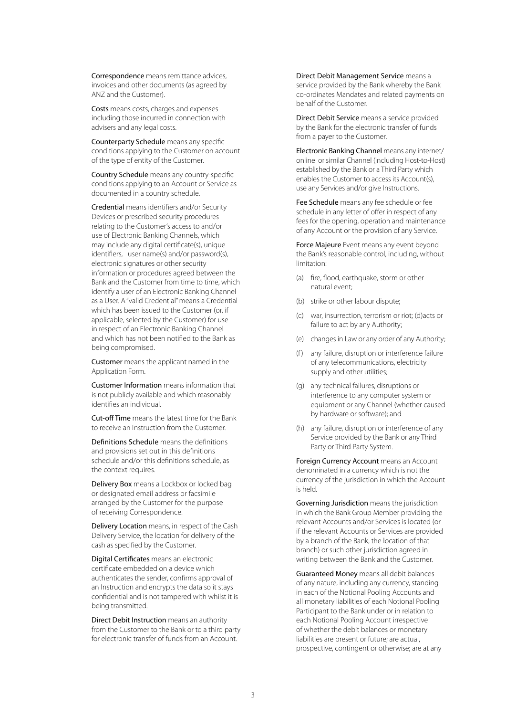Correspondence means remittance advices, invoices and other documents (as agreed by ANZ and the Customer).

Costs means costs, charges and expenses including those incurred in connection with advisers and any legal costs.

Counterparty Schedule means any specific conditions applying to the Customer on account of the type of entity of the Customer.

Country Schedule means any country-specific conditions applying to an Account or Service as documented in a country schedule.

Credential means identifiers and/or Security Devices or prescribed security procedures relating to the Customer's access to and/or use of Electronic Banking Channels, which may include any digital certificate(s), unique identifiers, user name(s) and/or password(s), electronic signatures or other security information or procedures agreed between the Bank and the Customer from time to time, which identify a user of an Electronic Banking Channel as a User. A "valid Credential" means a Credential which has been issued to the Customer (or, if applicable, selected by the Customer) for use in respect of an Electronic Banking Channel and which has not been notified to the Bank as being compromised.

Customer means the applicant named in the Application Form.

Customer Information means information that is not publicly available and which reasonably identifies an individual.

Cut-off Time means the latest time for the Bank to receive an Instruction from the Customer.

Definitions Schedule means the definitions and provisions set out in this definitions schedule and/or this definitions schedule, as the context requires.

Delivery Box means a Lockbox or locked bag or designated email address or facsimile arranged by the Customer for the purpose of receiving Correspondence.

Delivery Location means, in respect of the Cash Delivery Service, the location for delivery of the cash as specified by the Customer.

Digital Certificates means an electronic certificate embedded on a device which authenticates the sender, confirms approval of an Instruction and encrypts the data so it stays confidential and is not tampered with whilst it is being transmitted.

Direct Debit Instruction means an authority from the Customer to the Bank or to a third party for electronic transfer of funds from an Account.

Direct Debit Management Service means a service provided by the Bank whereby the Bank co-ordinates Mandates and related payments on behalf of the Customer.

Direct Debit Service means a service provided by the Bank for the electronic transfer of funds from a payer to the Customer.

Electronic Banking Channel means any internet/ online or similar Channel (including Host-to-Host) established by the Bank or a Third Party which enables the Customer to access its Account(s), use any Services and/or give Instructions.

Fee Schedule means any fee schedule or fee schedule in any letter of offer in respect of any fees for the opening, operation and maintenance of any Account or the provision of any Service.

Force Majeure Event means any event beyond the Bank's reasonable control, including, without limitation:

- (a) fire, flood, earthquake, storm or other natural event;
- (b) strike or other labour dispute;
- (c) war, insurrection, terrorism or riot; (d)acts or failure to act by any Authority;
- (e) changes in Law or any order of any Authority;
- (f) any failure, disruption or interference failure of any telecommunications, electricity supply and other utilities;
- (g) any technical failures, disruptions or interference to any computer system or equipment or any Channel (whether caused by hardware or software); and
- (h) any failure, disruption or interference of any Service provided by the Bank or any Third Party or Third Party System.

Foreign Currency Account means an Account denominated in a currency which is not the currency of the jurisdiction in which the Account is held.

Governing Jurisdiction means the jurisdiction in which the Bank Group Member providing the relevant Accounts and/or Services is located (or if the relevant Accounts or Services are provided by a branch of the Bank, the location of that branch) or such other jurisdiction agreed in writing between the Bank and the Customer.

Guaranteed Money means all debit balances of any nature, including any currency, standing in each of the Notional Pooling Accounts and all monetary liabilities of each Notional Pooling Participant to the Bank under or in relation to each Notional Pooling Account irrespective of whether the debit balances or monetary liabilities are present or future; are actual, prospective, contingent or otherwise; are at any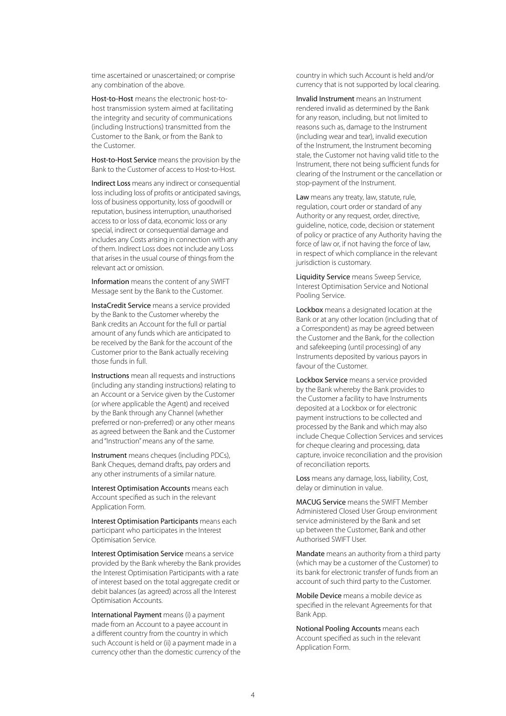time ascertained or unascertained; or comprise any combination of the above.

Host-to-Host means the electronic host-tohost transmission system aimed at facilitating the integrity and security of communications (including Instructions) transmitted from the Customer to the Bank, or from the Bank to the Customer.

Host-to-Host Service means the provision by the Bank to the Customer of access to Host-to-Host.

Indirect Loss means any indirect or consequential loss including loss of profits or anticipated savings, loss of business opportunity, loss of goodwill or reputation, business interruption, unauthorised access to or loss of data, economic loss or any special, indirect or consequential damage and includes any Costs arising in connection with any of them. Indirect Loss does not include any Loss that arises in the usual course of things from the relevant act or omission.

Information means the content of any SWIFT Message sent by the Bank to the Customer.

InstaCredit Service means a service provided by the Bank to the Customer whereby the Bank credits an Account for the full or partial amount of any funds which are anticipated to be received by the Bank for the account of the Customer prior to the Bank actually receiving those funds in full.

Instructions mean all requests and instructions (including any standing instructions) relating to an Account or a Service given by the Customer (or where applicable the Agent) and received by the Bank through any Channel (whether preferred or non-preferred) or any other means as agreed between the Bank and the Customer and "Instruction" means any of the same.

Instrument means cheques (including PDCs), Bank Cheques, demand drafts, pay orders and any other instruments of a similar nature.

Interest Optimisation Accounts means each Account specified as such in the relevant Application Form.

Interest Optimisation Participants means each participant who participates in the Interest Optimisation Service.

Interest Optimisation Service means a service provided by the Bank whereby the Bank provides the Interest Optimisation Participants with a rate of interest based on the total aggregate credit or debit balances (as agreed) across all the Interest Optimisation Accounts.

International Payment means (i) a payment made from an Account to a payee account in a different country from the country in which such Account is held or (ii) a payment made in a currency other than the domestic currency of the country in which such Account is held and/or currency that is not supported by local clearing.

Invalid Instrument means an Instrument rendered invalid as determined by the Bank for any reason, including, but not limited to reasons such as, damage to the Instrument (including wear and tear), invalid execution of the Instrument, the Instrument becoming stale, the Customer not having valid title to the Instrument, there not being sufficient funds for clearing of the Instrument or the cancellation or stop-payment of the Instrument.

Law means any treaty, law, statute, rule, regulation, court order or standard of any Authority or any request, order, directive, guideline, notice, code, decision or statement of policy or practice of any Authority having the force of law or, if not having the force of law, in respect of which compliance in the relevant jurisdiction is customary.

Liquidity Service means Sweep Service, Interest Optimisation Service and Notional Pooling Service.

Lockbox means a designated location at the Bank or at any other location (including that of a Correspondent) as may be agreed between the Customer and the Bank, for the collection and safekeeping (until processing) of any Instruments deposited by various payors in favour of the Customer.

Lockbox Service means a service provided by the Bank whereby the Bank provides to the Customer a facility to have Instruments deposited at a Lockbox or for electronic payment instructions to be collected and processed by the Bank and which may also include Cheque Collection Services and services for cheque clearing and processing, data capture, invoice reconciliation and the provision of reconciliation reports.

Loss means any damage, loss, liability, Cost, delay or diminution in value.

MACUG Service means the SWIFT Member Administered Closed User Group environment service administered by the Bank and set up between the Customer, Bank and other Authorised SWIFT User.

Mandate means an authority from a third party (which may be a customer of the Customer) to its bank for electronic transfer of funds from an account of such third party to the Customer.

Mobile Device means a mobile device as specified in the relevant Agreements for that Bank App.

Notional Pooling Accounts means each Account specified as such in the relevant Application Form.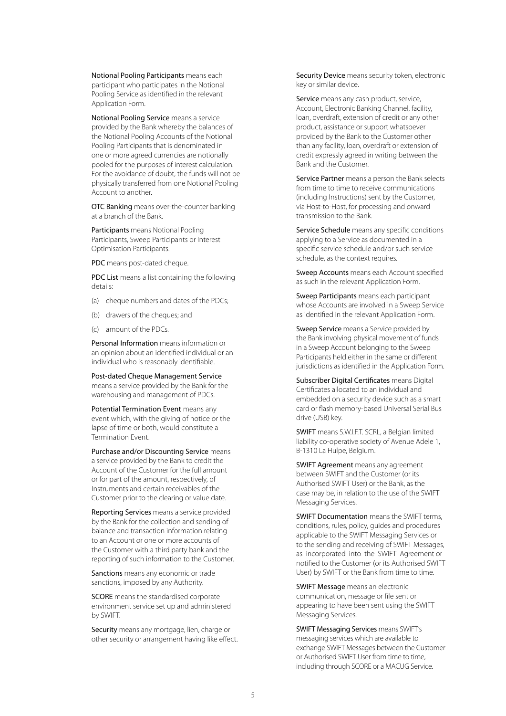Notional Pooling Participants means each participant who participates in the Notional Pooling Service as identified in the relevant Application Form.

Notional Pooling Service means a service provided by the Bank whereby the balances of the Notional Pooling Accounts of the Notional Pooling Participants that is denominated in one or more agreed currencies are notionally pooled for the purposes of interest calculation. For the avoidance of doubt, the funds will not be physically transferred from one Notional Pooling Account to another.

OTC Banking means over-the-counter banking at a branch of the Bank.

Participants means Notional Pooling Participants, Sweep Participants or Interest Optimisation Participants.

PDC means post-dated cheque.

PDC List means a list containing the following details:

- (a) cheque numbers and dates of the PDCs;
- (b) drawers of the cheques; and
- (c) amount of the PDCs.

Personal Information means information or an opinion about an identified individual or an individual who is reasonably identifiable.

Post-dated Cheque Management Service means a service provided by the Bank for the warehousing and management of PDCs.

Potential Termination Event means any event which, with the giving of notice or the lapse of time or both, would constitute a Termination Event.

Purchase and/or Discounting Service means a service provided by the Bank to credit the Account of the Customer for the full amount or for part of the amount, respectively, of Instruments and certain receivables of the Customer prior to the clearing or value date.

Reporting Services means a service provided by the Bank for the collection and sending of balance and transaction information relating to an Account or one or more accounts of the Customer with a third party bank and the reporting of such information to the Customer.

Sanctions means any economic or trade sanctions, imposed by any Authority.

SCORE means the standardised corporate environment service set up and administered by SWIFT.

Security means any mortgage, lien, charge or other security or arrangement having like effect. Security Device means security token, electronic key or similar device.

Service means any cash product, service, Account, Electronic Banking Channel, facility, loan, overdraft, extension of credit or any other product, assistance or support whatsoever provided by the Bank to the Customer other than any facility, loan, overdraft or extension of credit expressly agreed in writing between the Bank and the Customer.

Service Partner means a person the Bank selects from time to time to receive communications (including Instructions) sent by the Customer, via Host-to-Host, for processing and onward transmission to the Bank.

Service Schedule means any specific conditions applying to a Service as documented in a specific service schedule and/or such service schedule, as the context requires.

Sweep Accounts means each Account specified as such in the relevant Application Form.

Sweep Participants means each participant whose Accounts are involved in a Sweep Service as identified in the relevant Application Form.

Sweep Service means a Service provided by the Bank involving physical movement of funds in a Sweep Account belonging to the Sweep Participants held either in the same or different jurisdictions as identified in the Application Form.

Subscriber Digital Certificates means Digital Certificates allocated to an individual and embedded on a security device such as a smart card or flash memory-based Universal Serial Bus drive (USB) key.

SWIFT means S.W.I.F.T. SCRL, a Belgian limited liability co-operative society of Avenue Adele 1, B-1310 La Hulpe, Belgium.

SWIFT Agreement means any agreement between SWIFT and the Customer (or its Authorised SWIFT User) or the Bank, as the case may be, in relation to the use of the SWIFT Messaging Services.

SWIFT Documentation means the SWIFT terms, conditions, rules, policy, guides and procedures applicable to the SWIFT Messaging Services or to the sending and receiving of SWIFT Messages, as incorporated into the SWIFT Agreement or notified to the Customer (or its Authorised SWIFT User) by SWIFT or the Bank from time to time.

SWIFT Message means an electronic communication, message or file sent or appearing to have been sent using the SWIFT Messaging Services.

SWIFT Messaging Services means SWIFT's messaging services which are available to exchange SWIFT Messages between the Customer or Authorised SWIFT User from time to time, including through SCORE or a MACUG Service.